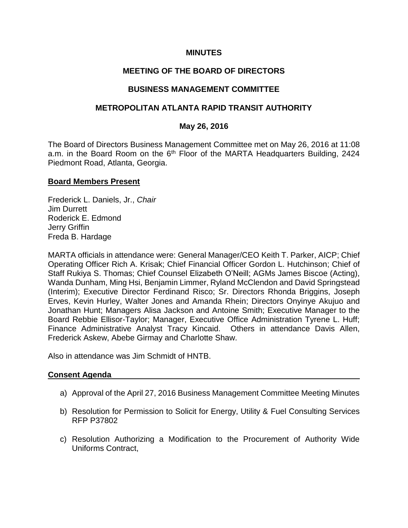### **MINUTES**

## **MEETING OF THE BOARD OF DIRECTORS**

### **BUSINESS MANAGEMENT COMMITTEE**

### **METROPOLITAN ATLANTA RAPID TRANSIT AUTHORITY**

### **May 26, 2016**

The Board of Directors Business Management Committee met on May 26, 2016 at 11:08 a.m. in the Board Room on the 6<sup>th</sup> Floor of the MARTA Headquarters Building, 2424 Piedmont Road, Atlanta, Georgia.

### **Board Members Present**

Frederick L. Daniels, Jr., *Chair* Jim Durrett Roderick E. Edmond Jerry Griffin Freda B. Hardage

MARTA officials in attendance were: General Manager/CEO Keith T. Parker, AICP; Chief Operating Officer Rich A. Krisak; Chief Financial Officer Gordon L. Hutchinson; Chief of Staff Rukiya S. Thomas; Chief Counsel Elizabeth O'Neill; AGMs James Biscoe (Acting), Wanda Dunham, Ming Hsi, Benjamin Limmer, Ryland McClendon and David Springstead (Interim); Executive Director Ferdinand Risco; Sr. Directors Rhonda Briggins, Joseph Erves, Kevin Hurley, Walter Jones and Amanda Rhein; Directors Onyinye Akujuo and Jonathan Hunt; Managers Alisa Jackson and Antoine Smith; Executive Manager to the Board Rebbie Ellisor-Taylor; Manager, Executive Office Administration Tyrene L. Huff; Finance Administrative Analyst Tracy Kincaid. Others in attendance Davis Allen, Frederick Askew, Abebe Girmay and Charlotte Shaw.

Also in attendance was Jim Schmidt of HNTB.

#### **Consent Agenda**

- a) Approval of the April 27, 2016 Business Management Committee Meeting Minutes
- b) Resolution for Permission to Solicit for Energy, Utility & Fuel Consulting Services RFP P37802
- c) Resolution Authorizing a Modification to the Procurement of Authority Wide Uniforms Contract,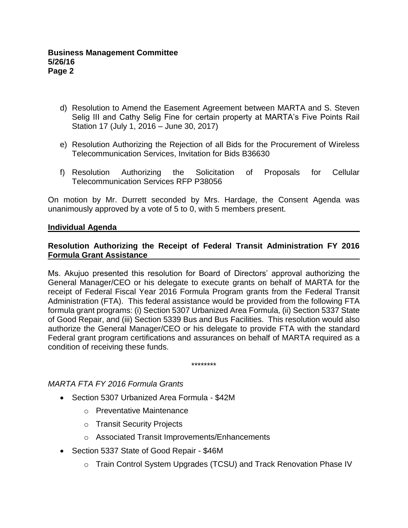- d) Resolution to Amend the Easement Agreement between MARTA and S. Steven Selig III and Cathy Selig Fine for certain property at MARTA's Five Points Rail Station 17 (July 1, 2016 – June 30, 2017)
- e) Resolution Authorizing the Rejection of all Bids for the Procurement of Wireless Telecommunication Services, Invitation for Bids B36630
- f) Resolution Authorizing the Solicitation of Proposals for Cellular Telecommunication Services RFP P38056

On motion by Mr. Durrett seconded by Mrs. Hardage, the Consent Agenda was unanimously approved by a vote of 5 to 0, with 5 members present.

## **Individual Agenda**

## **Resolution Authorizing the Receipt of Federal Transit Administration FY 2016 Formula Grant Assistance**

Ms. Akujuo presented this resolution for Board of Directors' approval authorizing the General Manager/CEO or his delegate to execute grants on behalf of MARTA for the receipt of Federal Fiscal Year 2016 Formula Program grants from the Federal Transit Administration (FTA). This federal assistance would be provided from the following FTA formula grant programs: (i) Section 5307 Urbanized Area Formula, (ii) Section 5337 State of Good Repair, and (iii) Section 5339 Bus and Bus Facilities. This resolution would also authorize the General Manager/CEO or his delegate to provide FTA with the standard Federal grant program certifications and assurances on behalf of MARTA required as a condition of receiving these funds.

\*\*\*\*\*\*\*\*

## *MARTA FTA FY 2016 Formula Grants*

- Section 5307 Urbanized Area Formula \$42M
	- o Preventative Maintenance
	- o Transit Security Projects
	- o Associated Transit Improvements/Enhancements
- Section 5337 State of Good Repair \$46M
	- o Train Control System Upgrades (TCSU) and Track Renovation Phase IV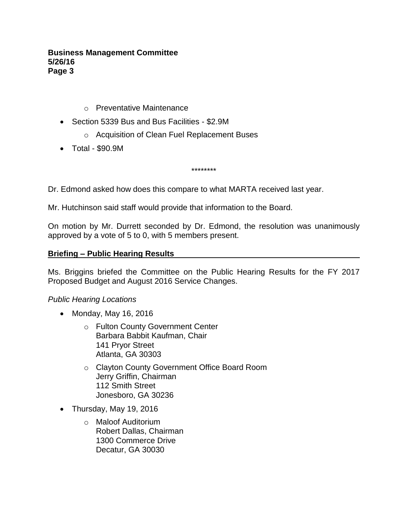- o Preventative Maintenance
- Section 5339 Bus and Bus Facilities \$2.9M
	- o Acquisition of Clean Fuel Replacement Buses
- Total \$90.9M

\*\*\*\*\*\*\*\*

Dr. Edmond asked how does this compare to what MARTA received last year.

Mr. Hutchinson said staff would provide that information to the Board.

On motion by Mr. Durrett seconded by Dr. Edmond, the resolution was unanimously approved by a vote of 5 to 0, with 5 members present.

### **Briefing – Public Hearing Results**

Ms. Briggins briefed the Committee on the Public Hearing Results for the FY 2017 Proposed Budget and August 2016 Service Changes.

## *Public Hearing Locations*

- Monday, May 16, 2016
	- o Fulton County Government Center Barbara Babbit Kaufman, Chair 141 Pryor Street Atlanta, GA 30303
	- o Clayton County Government Office Board Room Jerry Griffin, Chairman 112 Smith Street Jonesboro, GA 30236
- Thursday, May 19, 2016
	- o Maloof Auditorium Robert Dallas, Chairman 1300 Commerce Drive Decatur, GA 30030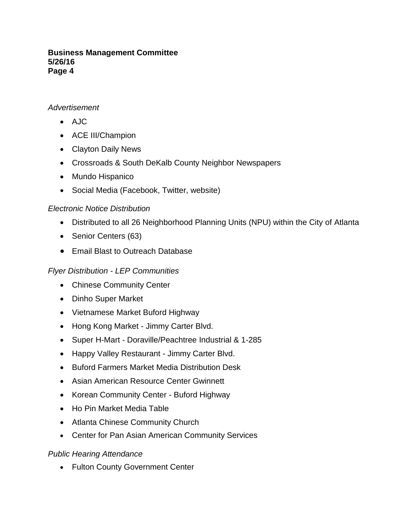## *Advertisement*

- AJC
- ACE III/Champion
- Clayton Daily News
- Crossroads & South DeKalb County Neighbor Newspapers
- Mundo Hispanico
- Social Media (Facebook, Twitter, website)

# *Electronic Notice Distribution*

- Distributed to all 26 Neighborhood Planning Units (NPU) within the City of Atlanta
- Senior Centers (63)
- Email Blast to Outreach Database

# *Flyer Distribution - LEP Communities*

- Chinese Community Center
- Dinho Super Market
- Vietnamese Market Buford Highway
- Hong Kong Market Jimmy Carter Blvd.
- Super H-Mart Doraville/Peachtree Industrial & 1-285
- Happy Valley Restaurant Jimmy Carter Blvd.
- Buford Farmers Market Media Distribution Desk
- Asian American Resource Center Gwinnett
- Korean Community Center Buford Highway
- Ho Pin Market Media Table
- Atlanta Chinese Community Church
- Center for Pan Asian American Community Services

# *Public Hearing Attendance*

• Fulton County Government Center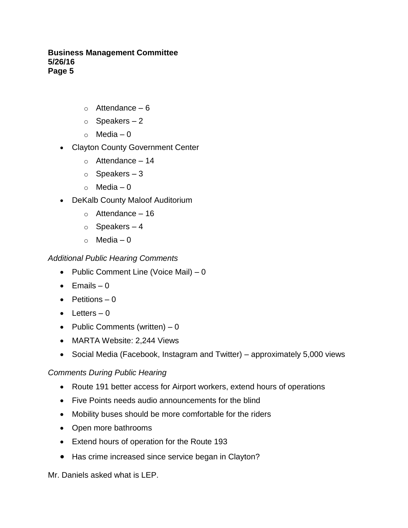- $\circ$  Attendance 6
- $\circ$  Speakers 2
- $\circ$  Media 0
- Clayton County Government Center
	- $\circ$  Attendance 14
	- $\circ$  Speakers 3
	- $\circ$  Media 0
- DeKalb County Maloof Auditorium
	- $\circ$  Attendance 16
	- $\circ$  Speakers 4
	- $\circ$  Media 0

## *Additional Public Hearing Comments*

- Public Comment Line (Voice Mail)  $-0$
- $\bullet$  Emails 0
- $\bullet$  Petitions 0
- $\bullet$  Letters 0
- Public Comments (written)  $-0$
- MARTA Website: 2,244 Views
- Social Media (Facebook, Instagram and Twitter) approximately 5,000 views

## *Comments During Public Hearing*

- Route 191 better access for Airport workers, extend hours of operations
- Five Points needs audio announcements for the blind
- Mobility buses should be more comfortable for the riders
- Open more bathrooms
- Extend hours of operation for the Route 193
- Has crime increased since service began in Clayton?

Mr. Daniels asked what is LEP.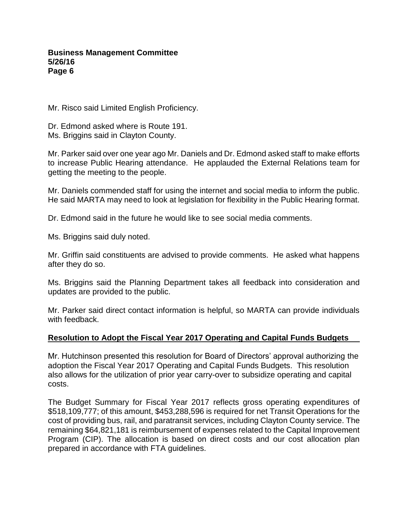Mr. Risco said Limited English Proficiency.

Dr. Edmond asked where is Route 191. Ms. Briggins said in Clayton County.

Mr. Parker said over one year ago Mr. Daniels and Dr. Edmond asked staff to make efforts to increase Public Hearing attendance. He applauded the External Relations team for getting the meeting to the people.

Mr. Daniels commended staff for using the internet and social media to inform the public. He said MARTA may need to look at legislation for flexibility in the Public Hearing format.

Dr. Edmond said in the future he would like to see social media comments.

Ms. Briggins said duly noted.

Mr. Griffin said constituents are advised to provide comments. He asked what happens after they do so.

Ms. Briggins said the Planning Department takes all feedback into consideration and updates are provided to the public.

Mr. Parker said direct contact information is helpful, so MARTA can provide individuals with feedback.

## **Resolution to Adopt the Fiscal Year 2017 Operating and Capital Funds Budgets**

Mr. Hutchinson presented this resolution for Board of Directors' approval authorizing the adoption the Fiscal Year 2017 Operating and Capital Funds Budgets. This resolution also allows for the utilization of prior year carry-over to subsidize operating and capital costs.

The Budget Summary for Fiscal Year 2017 reflects gross operating expenditures of \$518,109,777; of this amount, \$453,288,596 is required for net Transit Operations for the cost of providing bus, rail, and paratransit services, including Clayton County service. The remaining \$64,821,181 is reimbursement of expenses related to the Capital Improvement Program (CIP). The allocation is based on direct costs and our cost allocation plan prepared in accordance with FTA guidelines.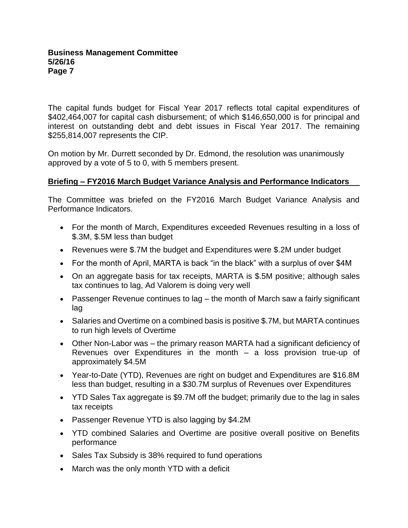The capital funds budget for Fiscal Year 2017 reflects total capital expenditures of \$402,464,007 for capital cash disbursement; of which \$146,650,000 is for principal and interest on outstanding debt and debt issues in Fiscal Year 2017. The remaining \$255,814,007 represents the CIP.

On motion by Mr. Durrett seconded by Dr. Edmond, the resolution was unanimously approved by a vote of 5 to 0, with 5 members present.

## **Briefing – FY2016 March Budget Variance Analysis and Performance Indicators**

The Committee was briefed on the FY2016 March Budget Variance Analysis and Performance Indicators.

- For the month of March, Expenditures exceeded Revenues resulting in a loss of \$.3M, \$.5M less than budget
- Revenues were \$.7M the budget and Expenditures were \$.2M under budget
- For the month of April, MARTA is back "in the black" with a surplus of over \$4M
- On an aggregate basis for tax receipts, MARTA is \$.5M positive; although sales tax continues to lag, Ad Valorem is doing very well
- Passenger Revenue continues to lag the month of March saw a fairly significant lag
- Salaries and Overtime on a combined basis is positive \$.7M, but MARTA continues to run high levels of Overtime
- Other Non-Labor was the primary reason MARTA had a significant deficiency of Revenues over Expenditures in the month – a loss provision true-up of approximately \$4.5M
- Year-to-Date (YTD), Revenues are right on budget and Expenditures are \$16.8M less than budget, resulting in a \$30.7M surplus of Revenues over Expenditures
- YTD Sales Tax aggregate is \$9.7M off the budget; primarily due to the lag in sales tax receipts
- Passenger Revenue YTD is also lagging by \$4.2M
- YTD combined Salaries and Overtime are positive overall positive on Benefits performance
- Sales Tax Subsidy is 38% required to fund operations
- March was the only month YTD with a deficit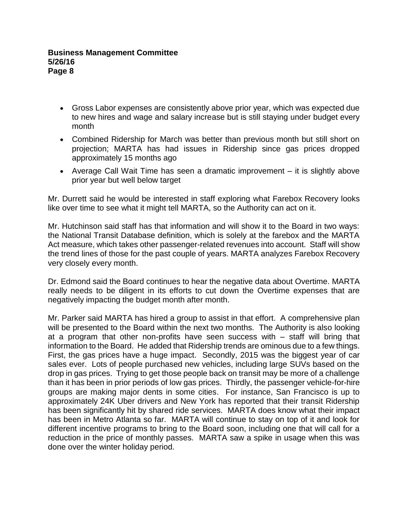- Gross Labor expenses are consistently above prior year, which was expected due to new hires and wage and salary increase but is still staying under budget every month
- Combined Ridership for March was better than previous month but still short on projection; MARTA has had issues in Ridership since gas prices dropped approximately 15 months ago
- Average Call Wait Time has seen a dramatic improvement it is slightly above prior year but well below target

Mr. Durrett said he would be interested in staff exploring what Farebox Recovery looks like over time to see what it might tell MARTA, so the Authority can act on it.

Mr. Hutchinson said staff has that information and will show it to the Board in two ways: the National Transit Database definition, which is solely at the farebox and the MARTA Act measure, which takes other passenger-related revenues into account. Staff will show the trend lines of those for the past couple of years. MARTA analyzes Farebox Recovery very closely every month.

Dr. Edmond said the Board continues to hear the negative data about Overtime. MARTA really needs to be diligent in its efforts to cut down the Overtime expenses that are negatively impacting the budget month after month.

Mr. Parker said MARTA has hired a group to assist in that effort. A comprehensive plan will be presented to the Board within the next two months. The Authority is also looking at a program that other non-profits have seen success with – staff will bring that information to the Board. He added that Ridership trends are ominous due to a few things. First, the gas prices have a huge impact. Secondly, 2015 was the biggest year of car sales ever. Lots of people purchased new vehicles, including large SUVs based on the drop in gas prices. Trying to get those people back on transit may be more of a challenge than it has been in prior periods of low gas prices. Thirdly, the passenger vehicle-for-hire groups are making major dents in some cities. For instance, San Francisco is up to approximately 24K Uber drivers and New York has reported that their transit Ridership has been significantly hit by shared ride services. MARTA does know what their impact has been in Metro Atlanta so far. MARTA will continue to stay on top of it and look for different incentive programs to bring to the Board soon, including one that will call for a reduction in the price of monthly passes. MARTA saw a spike in usage when this was done over the winter holiday period.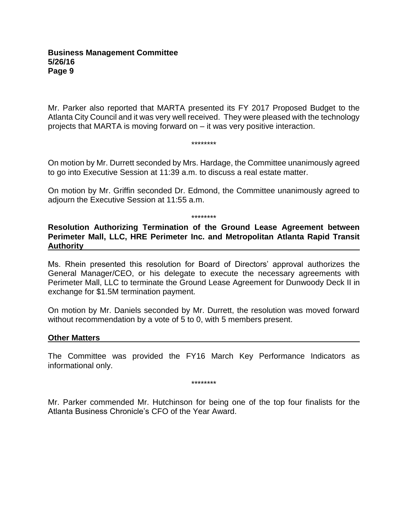Mr. Parker also reported that MARTA presented its FY 2017 Proposed Budget to the Atlanta City Council and it was very well received. They were pleased with the technology projects that MARTA is moving forward on – it was very positive interaction.

\*\*\*\*\*\*\*\*

On motion by Mr. Durrett seconded by Mrs. Hardage, the Committee unanimously agreed to go into Executive Session at 11:39 a.m. to discuss a real estate matter.

On motion by Mr. Griffin seconded Dr. Edmond, the Committee unanimously agreed to adjourn the Executive Session at 11:55 a.m.

\*\*\*\*\*\*\*\*

**Resolution Authorizing Termination of the Ground Lease Agreement between Perimeter Mall, LLC, HRE Perimeter Inc. and Metropolitan Atlanta Rapid Transit Authority**

Ms. Rhein presented this resolution for Board of Directors' approval authorizes the General Manager/CEO, or his delegate to execute the necessary agreements with Perimeter Mall, LLC to terminate the Ground Lease Agreement for Dunwoody Deck II in exchange for \$1.5M termination payment.

On motion by Mr. Daniels seconded by Mr. Durrett, the resolution was moved forward without recommendation by a vote of 5 to 0, with 5 members present.

#### **Other Matters**

The Committee was provided the FY16 March Key Performance Indicators as informational only.

\*\*\*\*\*\*\*\*

Mr. Parker commended Mr. Hutchinson for being one of the top four finalists for the Atlanta Business Chronicle's CFO of the Year Award.